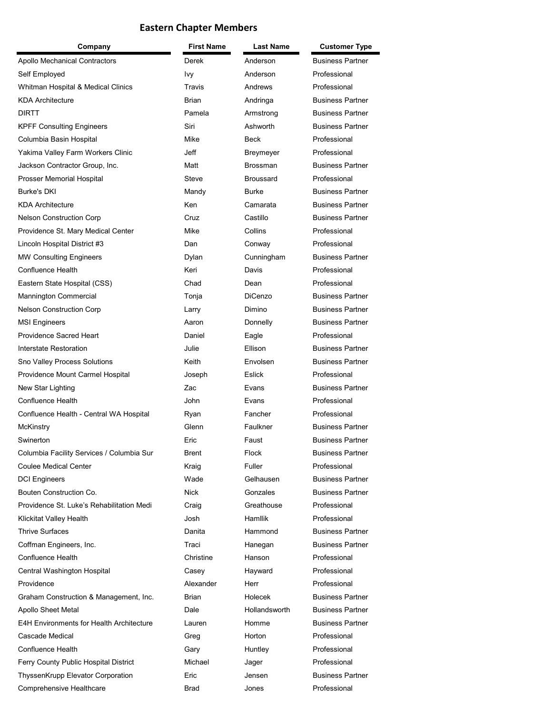## **Eastern Chapter Members**

| Company                                         | First Name   | <b>Last Name</b> | <b>Customer Type</b>    |
|-------------------------------------------------|--------------|------------------|-------------------------|
| Apollo Mechanical Contractors                   | Derek        | Anderson         | <b>Business Partner</b> |
| Self Employed                                   | Ivy          | Anderson         | Professional            |
| Whitman Hospital & Medical Clinics              | Travis       | Andrews          | Professional            |
| <b>KDA Architecture</b>                         | <b>Brian</b> | Andringa         | <b>Business Partner</b> |
| <b>DIRTT</b>                                    | Pamela       | Armstrong        | <b>Business Partner</b> |
| <b>KPFF Consulting Engineers</b>                | Siri         | Ashworth         | <b>Business Partner</b> |
| Columbia Basin Hospital                         | Mike         | <b>Beck</b>      | Professional            |
| Yakima Valley Farm Workers Clinic               | Jeff         | Breymeyer        | Professional            |
| Jackson Contractor Group, Inc.                  | Matt         | <b>Brossman</b>  | <b>Business Partner</b> |
| Prosser Memorial Hospital                       | Steve        | <b>Broussard</b> | Professional            |
| <b>Burke's DKI</b>                              | Mandy        | <b>Burke</b>     | <b>Business Partner</b> |
| <b>KDA Architecture</b>                         | Ken          | Camarata         | <b>Business Partner</b> |
| <b>Nelson Construction Corp</b>                 | Cruz         | Castillo         | <b>Business Partner</b> |
| Providence St. Mary Medical Center              | Mike         | Collins          | Professional            |
| Lincoln Hospital District #3                    | Dan          | Conway           | Professional            |
| <b>MW Consulting Engineers</b>                  | Dylan        | Cunningham       | <b>Business Partner</b> |
| <b>Confluence Health</b>                        | Keri         | Davis            | Professional            |
| Eastern State Hospital (CSS)                    | Chad         | Dean             | Professional            |
| Mannington Commercial                           | Tonja        | <b>DiCenzo</b>   | <b>Business Partner</b> |
| <b>Nelson Construction Corp</b>                 | Larry        | Dimino           | <b>Business Partner</b> |
| <b>MSI Engineers</b>                            | Aaron        | Donnelly         | <b>Business Partner</b> |
| <b>Providence Sacred Heart</b>                  | Daniel       | Eagle            | Professional            |
| Interstate Restoration                          | Julie        | Ellison          | <b>Business Partner</b> |
| Sno Valley Process Solutions                    | Keith        | Envolsen         | <b>Business Partner</b> |
| Providence Mount Carmel Hospital                | Joseph       | Eslick           | Professional            |
| New Star Lighting                               | Zac          | Evans            | <b>Business Partner</b> |
| Confluence Health                               | John.        | Evans            | Professional            |
| Confluence Health - Central WA Hospital         | Ryan         | Fancher          | Professional            |
| McKinstry                                       | Glenn        | Faulkner         | <b>Business Partner</b> |
| Swinerton                                       | Eric         | Faust            | <b>Business Partner</b> |
| Columbia Facility Services / Columbia Sur       | Brent        | Flock            | <b>Business Partner</b> |
| <b>Coulee Medical Center</b>                    | Kraig        | Fuller           | Professional            |
| <b>DCI Engineers</b>                            | Wade         | Gelhausen        | <b>Business Partner</b> |
| Bouten Construction Co.                         | <b>Nick</b>  | Gonzales         | <b>Business Partner</b> |
| Providence St. Luke's Rehabilitation Medi       | Craig        | Greathouse       | Professional            |
| Klickitat Valley Health                         | Josh         | <b>Hamllik</b>   | Professional            |
| <b>Thrive Surfaces</b>                          | Danita       | Hammond          | <b>Business Partner</b> |
| Coffman Engineers, Inc.                         | Traci        | Hanegan          | <b>Business Partner</b> |
| Confluence Health                               | Christine    | Hanson           | Professional            |
| Central Washington Hospital                     | Casey        | Hayward          | Professional            |
| Providence                                      | Alexander    | Herr             | Professional            |
| Graham Construction & Management, Inc.          | Brian        | Holecek          | <b>Business Partner</b> |
| Apollo Sheet Metal                              | Dale         | Hollandsworth    | <b>Business Partner</b> |
| <b>E4H Environments for Health Architecture</b> | Lauren       | Homme            | <b>Business Partner</b> |
| Cascade Medical                                 | Greg         | Horton           | Professional            |
| Confluence Health                               | Gary         | Huntley          | Professional            |
| Ferry County Public Hospital District           | Michael      | Jager            | Professional            |
| ThyssenKrupp Elevator Corporation               | Eric         | Jensen           | <b>Business Partner</b> |
| Comprehensive Healthcare                        | Brad         | Jones            | Professional            |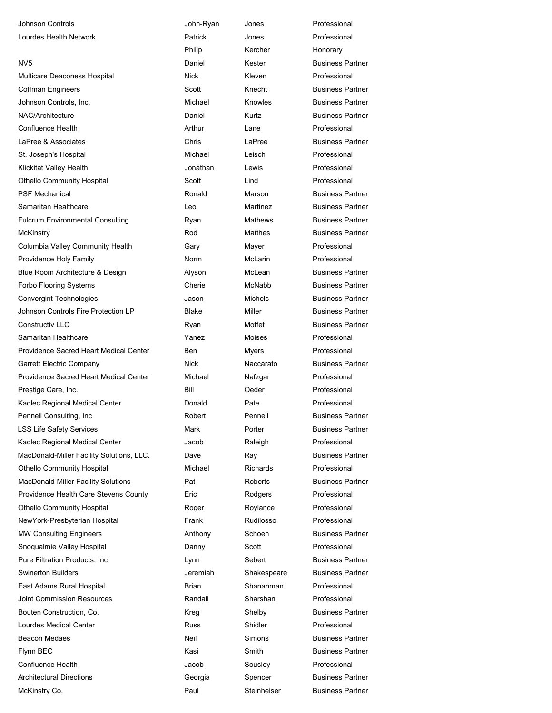| <b>Johnson Controls</b>                   | John-Ryan   | Jones            | Professional            |
|-------------------------------------------|-------------|------------------|-------------------------|
| Lourdes Health Network                    | Patrick     | Jones            | Professional            |
|                                           | Philip      | Kercher          | Honorary                |
| NV5                                       | Daniel      | Kester           | <b>Business Partner</b> |
| Multicare Deaconess Hospital              | <b>Nick</b> | Kleven           | Professional            |
| <b>Coffman Engineers</b>                  | Scott       | Knecht           | <b>Business Partner</b> |
| Johnson Controls, Inc.                    | Michael     | Knowles          | <b>Business Partner</b> |
| NAC/Architecture                          | Daniel      | Kurtz            | <b>Business Partner</b> |
| Confluence Health                         | Arthur      | Lane             | Professional            |
| LaPree & Associates                       | Chris       | LaPree           | <b>Business Partner</b> |
| St. Joseph's Hospital                     | Michael     | Leisch           | Professional            |
| Klickitat Valley Health                   | Jonathan    | Lewis            | Professional            |
| <b>Othello Community Hospital</b>         | Scott       | Lind             | Professional            |
| <b>PSF Mechanical</b>                     | Ronald      | Marson           | <b>Business Partner</b> |
| Samaritan Healthcare                      | Leo         | Martinez         | <b>Business Partner</b> |
| <b>Fulcrum Environmental Consulting</b>   | Ryan        | <b>Mathews</b>   | <b>Business Partner</b> |
| <b>McKinstry</b>                          | Rod         | <b>Matthes</b>   | <b>Business Partner</b> |
| Columbia Valley Community Health          | Gary        | Mayer            | Professional            |
| Providence Holy Family                    | Norm        | <b>McLarin</b>   | Professional            |
| Blue Room Architecture & Design           | Alyson      | McLean           | <b>Business Partner</b> |
| Forbo Flooring Systems                    | Cherie      | <b>McNabb</b>    | <b>Business Partner</b> |
| <b>Convergint Technologies</b>            | Jason       | <b>Michels</b>   | <b>Business Partner</b> |
| Johnson Controls Fire Protection LP       | Blake       | Miller           | <b>Business Partner</b> |
| <b>Constructiv LLC</b>                    | Ryan        | Moffet           | <b>Business Partner</b> |
| Samaritan Healthcare                      | Yanez       | <b>Moises</b>    | Professional            |
| Providence Sacred Heart Medical Center    | <b>Ben</b>  | <b>Myers</b>     | Professional            |
| <b>Garrett Electric Company</b>           | Nick        | Naccarato        | <b>Business Partner</b> |
| Providence Sacred Heart Medical Center    | Michael     | Nafzgar          | Professional            |
| Prestige Care, Inc.                       | Bill        | Oeder            | Professional            |
| Kadlec Regional Medical Center            | Donald      | Pate             | Professional            |
| Pennell Consulting, Inc                   | Robert      | Pennell          | <b>Business Partner</b> |
| <b>LSS Life Safety Services</b>           | Mark        | Porter           | <b>Business Partner</b> |
| Kadlec Regional Medical Center            | Jacob       | Raleigh          | Professional            |
| MacDonald-Miller Facility Solutions, LLC. | Dave        | Ray              | <b>Business Partner</b> |
| <b>Othello Community Hospital</b>         | Michael     | <b>Richards</b>  | Professional            |
| MacDonald-Miller Facility Solutions       | Pat         | Roberts          | <b>Business Partner</b> |
| Providence Health Care Stevens County     | Eric        | Rodgers          | Professional            |
| <b>Othello Community Hospital</b>         | Roger       | Roylance         | Professional            |
| NewYork-Presbyterian Hospital             | Frank       | <b>Rudilosso</b> | Professional            |
| <b>MW Consulting Engineers</b>            | Anthony     | Schoen           | <b>Business Partner</b> |
| Snoqualmie Valley Hospital                | Danny       | Scott            | Professional            |
| Pure Filtration Products, Inc.            | Lynn        | Sebert           | <b>Business Partner</b> |
| <b>Swinerton Builders</b>                 | Jeremiah    | Shakespeare      | <b>Business Partner</b> |
| East Adams Rural Hospital                 | Brian       | Shananman        | Professional            |
| <b>Joint Commission Resources</b>         | Randall     | Sharshan         | Professional            |
| Bouten Construction, Co.                  | Kreg        | Shelby           | <b>Business Partner</b> |
| Lourdes Medical Center                    | <b>Russ</b> | Shidler          | Professional            |
| <b>Beacon Medaes</b>                      | Neil        | Simons           | <b>Business Partner</b> |
| Flynn BEC                                 | Kasi        | Smith            | <b>Business Partner</b> |
| <b>Confluence Health</b>                  | Jacob       | Sousley          | Professional            |
| <b>Architectural Directions</b>           | Georgia     | Spencer          | <b>Business Partner</b> |
| McKinstry Co.                             | Paul        | Steinheiser      | <b>Business Partner</b> |